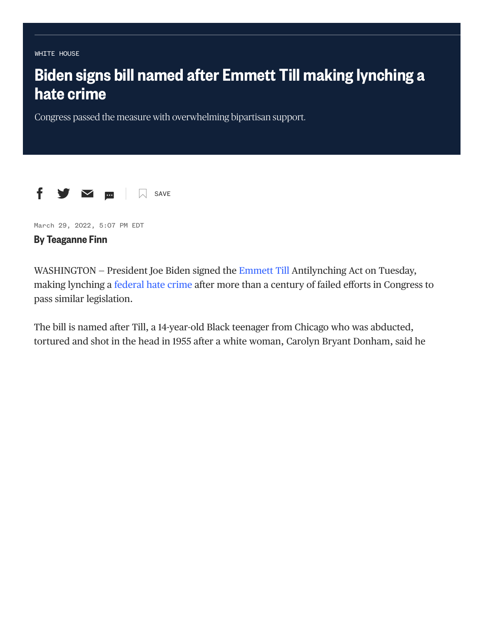**WHTTF HOUSE** 

## [WHITE](https://www.nbcnews.com/politics/white-house) HOUSE<br>**Biden s<br>hate cr**<br>Congress pa<br>f<br>**f** S **Biden signs bill named after Emmett Till making lynching a hate crime**

Congress passed the measure with overwhelming bipartisan support.



March 29, 2022, 5:07 PM EDT

## **By Teaganne Finn**

WASHINGTON – President Joe Biden signed the Emmett Till Antilynching Act on Tuesday, making lynching a federal hate crime after more than a century of failed efforts in Congress to pass similar legislation.

The bill is named after Till, a 14-year-old Black teenager from Chicago who was abducted, tortured and shot in the head in 1955 after a white woman, Carolyn Bryant Donham, said he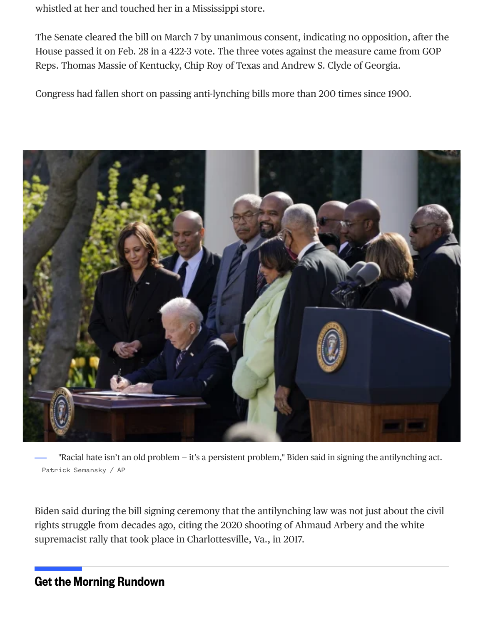whistled at her and touched her in a Mississippi store.

The Senate cleared the bill on March 7 by unanimous consent, indicating no opposition, after the House passed it on Feb. 28 in a 4223 vote. The three votes against the measure came from GOP Reps. Thomas Massie of Kentucky, Chip Roy of Texas and Andrew S. Clyde of Georgia.

Congress had fallen short on passing anti-lynching bills more than 200 times since 1900.



 Patrick Semansky / AP "Racial hate isn't an old problem — it's a persistent problem," Biden said in signing the antilynching act.

Biden said during the bill signing ceremony that the antilynching law was not just about the civil rights struggle from decades ago, citing the 2020 shooting of Ahmaud Arbery and the white supremacist rally that took place in Charlottesville, Va., in 2017.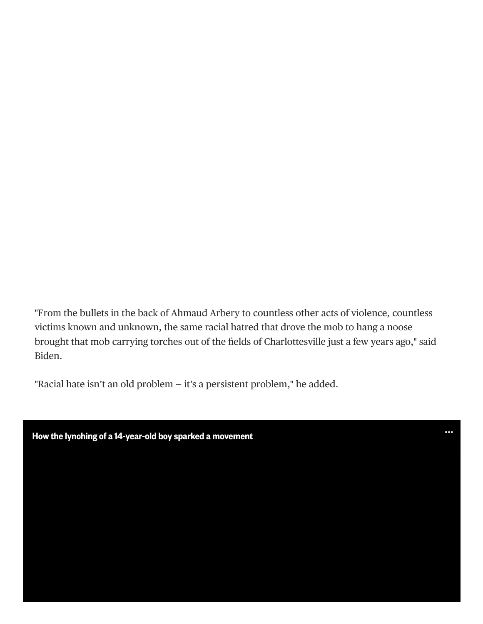"From the bullets in the back of Ahmaud Arbery to countless other acts of violence, countless victims known and unknown, the same racial hatred that drove the mob to hang a noose brought that mob carrying torches out of the fields of Charlottesville just a few years ago," said Biden.

 $\ddot{\phantom{0}}$ 

"Racial hate isn't an old problem — it's a persistent problem," he added.

**How the lynching of a 14-year-old boy sparked a movement**